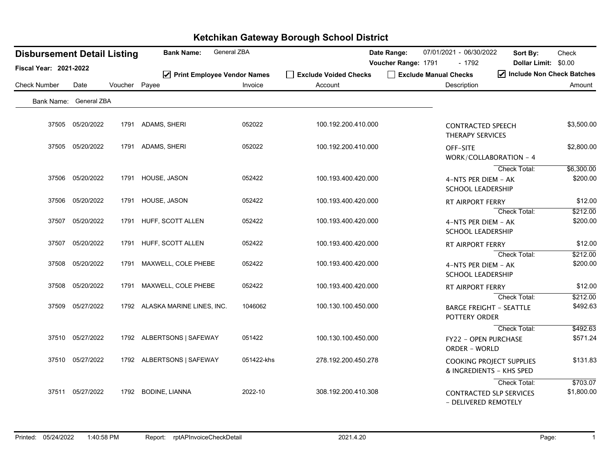| <b>Disbursement Detail Listing</b> |                  |               | <b>Bank Name:</b>              | General ZBA |                       | Date Range:         | 07/01/2021 - 06/30/2022                             | Sort By:                                                    | Check                  |
|------------------------------------|------------------|---------------|--------------------------------|-------------|-----------------------|---------------------|-----------------------------------------------------|-------------------------------------------------------------|------------------------|
| Fiscal Year: 2021-2022             |                  |               |                                |             |                       | Voucher Range: 1791 | - 1792                                              | Dollar Limit: \$0.00                                        |                        |
|                                    |                  |               | ☑ Print Employee Vendor Names  |             | Exclude Voided Checks |                     | Exclude Manual Checks                               | Include Non Check Batches                                   |                        |
| <b>Check Number</b>                | Date             | Voucher Payee |                                | Invoice     | Account               |                     | Description                                         |                                                             | Amount                 |
| Bank Name: General ZBA             |                  |               |                                |             |                       |                     |                                                     |                                                             |                        |
|                                    | 37505 05/20/2022 | 1791          | ADAMS, SHERI                   | 052022      | 100.192.200.410.000   |                     | <b>CONTRACTED SPEECH</b><br><b>THERAPY SERVICES</b> |                                                             | \$3,500.00             |
|                                    | 37505 05/20/2022 | 1791          | ADAMS, SHERI                   | 052022      | 100.192.200.410.000   |                     | OFF-SITE                                            | WORK/COLLABORATION - 4                                      | \$2,800.00             |
|                                    | 37506 05/20/2022 | 1791          | HOUSE, JASON                   | 052422      | 100.193.400.420.000   |                     | 4-NTS PER DIEM - AK<br><b>SCHOOL LEADERSHIP</b>     | Check Total:                                                | \$6,300.00<br>\$200.00 |
|                                    | 37506 05/20/2022 | 1791          | HOUSE, JASON                   | 052422      | 100.193.400.420.000   |                     | <b>RT AIRPORT FERRY</b>                             |                                                             | \$12.00                |
|                                    | 37507 05/20/2022 | 1791          | HUFF, SCOTT ALLEN              | 052422      | 100.193.400.420.000   |                     | 4-NTS PER DIEM - AK<br><b>SCHOOL LEADERSHIP</b>     | Check Total:                                                | \$212.00<br>\$200.00   |
|                                    | 37507 05/20/2022 | 1791          | HUFF, SCOTT ALLEN              | 052422      | 100.193.400.420.000   |                     | RT AIRPORT FERRY                                    |                                                             | \$12.00                |
|                                    | 37508 05/20/2022 | 1791          | MAXWELL, COLE PHEBE            | 052422      | 100.193.400.420.000   |                     | 4-NTS PER DIEM - AK<br><b>SCHOOL LEADERSHIP</b>     | Check Total:                                                | \$212.00<br>\$200.00   |
|                                    | 37508 05/20/2022 | 1791          | MAXWELL, COLE PHEBE            | 052422      | 100.193.400.420.000   |                     | RT AIRPORT FERRY                                    |                                                             | \$12.00                |
| 37509                              | 05/27/2022       |               | 1792 ALASKA MARINE LINES, INC. | 1046062     | 100.130.100.450.000   |                     | <b>BARGE FREIGHT - SEATTLE</b><br>POTTERY ORDER     | Check Total:                                                | \$212.00<br>\$492.63   |
|                                    | 37510 05/27/2022 |               | 1792 ALBERTSONS   SAFEWAY      | 051422      | 100.130.100.450.000   |                     | FY22 - OPEN PURCHASE<br><b>ORDER - WORLD</b>        | Check Total:                                                | \$492.63<br>\$571.24   |
|                                    | 37510 05/27/2022 |               | 1792 ALBERTSONS   SAFEWAY      | 051422-khs  | 278.192.200.450.278   |                     |                                                     | <b>COOKING PROJECT SUPPLIES</b><br>& INGREDIENTS - KHS SPED | \$131.83               |
|                                    | 37511 05/27/2022 | 1792          | <b>BODINE, LIANNA</b>          | 2022-10     | 308.192.200.410.308   |                     | - DELIVERED REMOTELY                                | Check Total:<br><b>CONTRACTED SLP SERVICES</b>              | \$703.07<br>\$1,800.00 |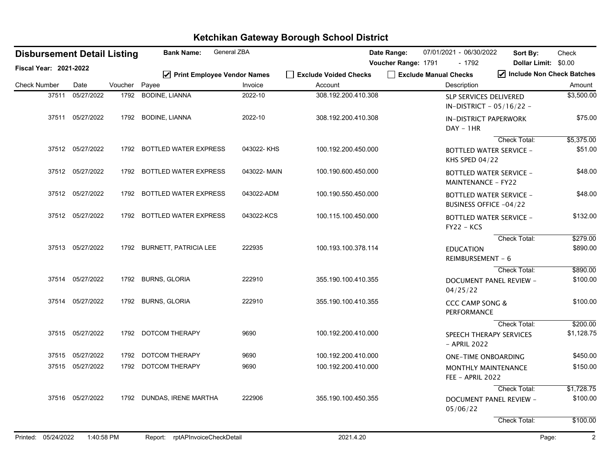|                               |       | <b>Disbursement Detail Listing</b> |         | <b>Bank Name:</b>                      | General ZBA |                                  | Date Range:         | 07/01/2021 - 06/30/2022                                     | Sort By:                       | Check                   |
|-------------------------------|-------|------------------------------------|---------|----------------------------------------|-------------|----------------------------------|---------------------|-------------------------------------------------------------|--------------------------------|-------------------------|
| <b>Fiscal Year: 2021-2022</b> |       |                                    |         |                                        |             |                                  | Voucher Range: 1791 | - 1792                                                      | Dollar Limit: \$0.00           |                         |
| <b>Check Number</b>           |       | Date                               | Voucher | ☑ Print Employee Vendor Names<br>Payee | Invoice     | Exclude Voided Checks<br>Account |                     | Exclude Manual Checks<br>Description                        | Include Non Check Batches      | Amount                  |
|                               | 37511 | 05/27/2022                         | 1792    | <b>BODINE, LIANNA</b>                  | 2022-10     | 308.192.200.410.308              |                     | <b>SLP SERVICES DELIVERED</b><br>IN-DISTRICT - 05/16/22 -   |                                | \$3,500.00              |
|                               |       | 37511 05/27/2022                   | 1792    | <b>BODINE, LIANNA</b>                  | 2022-10     | 308.192.200.410.308              |                     | <b>IN-DISTRICT PAPERWORK</b><br>$DAY - 1HR$                 |                                | \$75.00                 |
|                               |       |                                    |         |                                        |             |                                  |                     |                                                             | Check Total:                   | \$5,375.00              |
|                               |       | 37512 05/27/2022                   |         | 1792 BOTTLED WATER EXPRESS             | 043022-KHS  | 100.192.200.450.000              |                     | <b>BOTTLED WATER SERVICE -</b><br>KHS SPED $04/22$          |                                | \$51.00                 |
|                               |       | 37512 05/27/2022                   | 1792    | <b>BOTTLED WATER EXPRESS</b>           | 043022-MAIN | 100.190.600.450.000              |                     | <b>BOTTLED WATER SERVICE -</b><br><b>MAINTENANCE - FY22</b> |                                | \$48.00                 |
|                               |       | 37512 05/27/2022                   |         | 1792 BOTTLED WATER EXPRESS             | 043022-ADM  | 100.190.550.450.000              |                     | <b>BOTTLED WATER SERVICE -</b><br>BUSINESS OFFICE -04/22    |                                | \$48.00                 |
|                               |       | 37512 05/27/2022                   |         | 1792 BOTTLED WATER EXPRESS             | 043022-KCS  | 100.115.100.450.000              |                     | <b>BOTTLED WATER SERVICE -</b><br>$FY22 - KCS$              |                                | \$132.00                |
|                               |       |                                    |         |                                        |             |                                  |                     |                                                             | Check Total:                   | \$279.00                |
|                               |       | 37513 05/27/2022                   |         | 1792 BURNETT, PATRICIA LEE             | 222935      | 100.193.100.378.114              |                     | <b>EDUCATION</b><br>REIMBURSEMENT - 6                       |                                | \$890.00                |
|                               |       |                                    |         |                                        |             |                                  |                     |                                                             | Check Total:                   | \$890.00                |
|                               |       | 37514 05/27/2022                   |         | 1792 BURNS, GLORIA                     | 222910      | 355.190.100.410.355              |                     | 04/25/22                                                    | DOCUMENT PANEL REVIEW -        | \$100.00                |
|                               |       | 37514 05/27/2022                   | 1792    | <b>BURNS, GLORIA</b>                   | 222910      | 355.190.100.410.355              |                     | <b>CCC CAMP SONG &amp;</b><br>PERFORMANCE                   |                                | \$100.00                |
|                               |       |                                    |         |                                        |             |                                  |                     |                                                             | Check Total:                   | \$200.00                |
|                               |       | 37515 05/27/2022                   |         | 1792 DOTCOM THERAPY                    | 9690        | 100.192.200.410.000              |                     | SPEECH THERAPY SERVICES<br>- APRIL 2022                     |                                | \$1,128.75              |
|                               |       | 37515 05/27/2022                   | 1792    | <b>DOTCOM THERAPY</b>                  | 9690        | 100.192.200.410.000              |                     | <b>ONE-TIME ONBOARDING</b>                                  |                                | \$450.00                |
|                               |       | 37515 05/27/2022                   |         | 1792 DOTCOM THERAPY                    | 9690        | 100.192.200.410.000              |                     | MONTHLY MAINTENANCE<br>FEE - APRIL 2022                     |                                | \$150.00                |
|                               |       |                                    |         |                                        |             |                                  |                     |                                                             | Check Total:                   | \$1,728.75              |
|                               |       | 37516 05/27/2022                   |         | 1792 DUNDAS, IRENE MARTHA              | 222906      | 355.190.100.450.355              |                     | 05/06/22                                                    | <b>DOCUMENT PANEL REVIEW -</b> | \$100.00                |
|                               |       |                                    |         |                                        |             |                                  |                     |                                                             | Check Total:                   | \$100.00                |
| Printed: 05/24/2022           |       | 1:40:58 PM                         |         | Report: rptAPInvoiceCheckDetail        |             | 2021.4.20                        |                     |                                                             |                                | $\overline{2}$<br>Page: |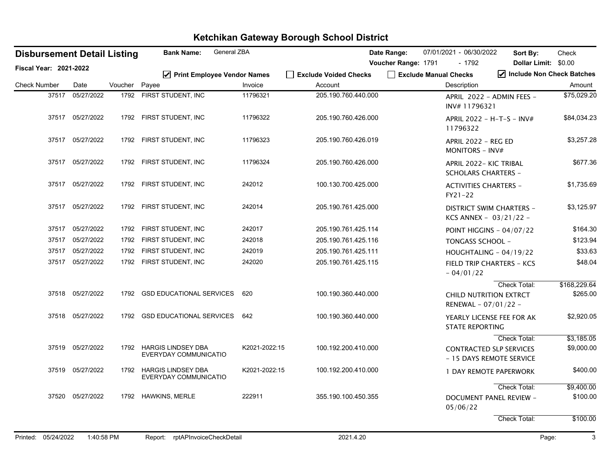| <b>Disbursement Detail Listing</b> |                  |         | <b>Bank Name:</b>                                  | General ZBA   |                       | Date Range:         | 07/01/2021 - 06/30/2022                              | Sort By:                                                    | Check        |
|------------------------------------|------------------|---------|----------------------------------------------------|---------------|-----------------------|---------------------|------------------------------------------------------|-------------------------------------------------------------|--------------|
| <b>Fiscal Year: 2021-2022</b>      |                  |         |                                                    |               |                       | Voucher Range: 1791 | - 1792                                               | Dollar Limit: \$0.00                                        |              |
|                                    |                  |         | ☑ Print Employee Vendor Names                      |               | Exclude Voided Checks |                     | Exclude Manual Checks                                | Include Non Check Batches                                   |              |
| <b>Check Number</b>                | Date             | Voucher | Payee                                              | Invoice       | Account               |                     | Description                                          |                                                             | Amount       |
| 37517                              | 05/27/2022       |         | 1792 FIRST STUDENT, INC                            | 11796321      | 205.190.760.440.000   |                     | INV#11796321                                         | APRIL 2022 - ADMIN FEES -                                   | \$75,029.20  |
|                                    | 37517 05/27/2022 |         | 1792 FIRST STUDENT, INC                            | 11796322      | 205.190.760.426.000   |                     | 11796322                                             | APRIL 2022 - H-T-S - INV#                                   | \$84,034.23  |
|                                    | 37517 05/27/2022 |         | 1792 FIRST STUDENT, INC                            | 11796323      | 205.190.760.426.019   |                     | APRIL 2022 - REG ED<br><b>MONITORS - INV#</b>        |                                                             | \$3,257.28   |
|                                    | 37517 05/27/2022 |         | 1792 FIRST STUDENT, INC                            | 11796324      | 205.190.760.426.000   |                     | APRIL 2022- KIC TRIBAL<br><b>SCHOLARS CHARTERS -</b> |                                                             | \$677.36     |
|                                    | 37517 05/27/2022 |         | 1792 FIRST STUDENT, INC                            | 242012        | 100.130.700.425.000   |                     | <b>ACTIVITIES CHARTERS -</b><br>FY21-22              |                                                             | \$1,735.69   |
|                                    | 37517 05/27/2022 |         | 1792 FIRST STUDENT, INC                            | 242014        | 205.190.761.425.000   |                     |                                                      | <b>DISTRICT SWIM CHARTERS -</b><br>KCS ANNEX - $03/21/22$ - | \$3,125.97   |
|                                    | 37517 05/27/2022 |         | 1792 FIRST STUDENT, INC                            | 242017        | 205.190.761.425.114   |                     |                                                      | <b>POINT HIGGINS - 04/07/22</b>                             | \$164.30     |
|                                    | 37517 05/27/2022 |         | 1792 FIRST STUDENT, INC                            | 242018        | 205.190.761.425.116   |                     | <b>TONGASS SCHOOL -</b>                              |                                                             | \$123.94     |
|                                    | 37517 05/27/2022 |         | 1792 FIRST STUDENT, INC                            | 242019        | 205.190.761.425.111   |                     |                                                      | HOUGHTALING - 04/19/22                                      | \$33.63      |
|                                    | 37517 05/27/2022 |         | 1792 FIRST STUDENT, INC                            | 242020        | 205.190.761.425.115   |                     | $-04/01/22$                                          | <b>FIELD TRIP CHARTERS - KCS</b>                            | \$48.04      |
|                                    |                  |         |                                                    |               |                       |                     |                                                      | Check Total:                                                | \$168,229.64 |
|                                    | 37518 05/27/2022 | 1792    | <b>GSD EDUCATIONAL SERVICES</b>                    | 620           | 100.190.360.440.000   |                     | RENEWAL - 07/01/22 -                                 | CHILD NUTRITION EXTRCT                                      | \$265.00     |
|                                    | 37518 05/27/2022 |         | 1792 GSD EDUCATIONAL SERVICES                      | 642           | 100.190.360.440.000   |                     | <b>STATE REPORTING</b>                               | YEARLY LICENSE FEE FOR AK                                   | \$2,920.05   |
|                                    |                  |         |                                                    |               |                       |                     |                                                      | Check Total:                                                | \$3,185.05   |
|                                    | 37519 05/27/2022 | 1792    | <b>HARGIS LINDSEY DBA</b><br>EVERYDAY COMMUNICATIO | K2021-2022:15 | 100.192.200.410.000   |                     |                                                      | <b>CONTRACTED SLP SERVICES</b><br>- 15 DAYS REMOTE SERVICE  | \$9,000.00   |
|                                    | 37519 05/27/2022 | 1792    | <b>HARGIS LINDSEY DBA</b><br>EVERYDAY COMMUNICATIO | K2021-2022:15 | 100.192.200.410.000   |                     |                                                      | 1 DAY REMOTE PAPERWORK                                      | \$400.00     |
|                                    |                  |         |                                                    |               |                       |                     |                                                      | <b>Check Total:</b>                                         | \$9,400.00   |
|                                    | 37520 05/27/2022 |         | 1792 HAWKINS, MERLE                                | 222911        | 355.190.100.450.355   |                     | 05/06/22                                             | <b>DOCUMENT PANEL REVIEW -</b>                              | \$100.00     |
|                                    |                  |         |                                                    |               |                       |                     |                                                      | Check Total:                                                | \$100.00     |
|                                    |                  |         |                                                    |               |                       |                     |                                                      |                                                             |              |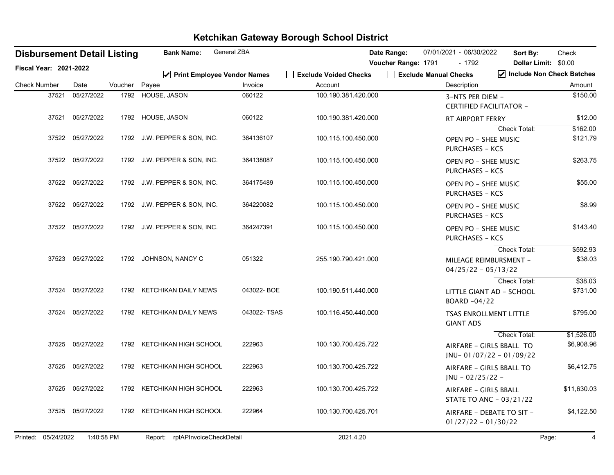|                               |       | <b>Disbursement Detail Listing</b> |               | <b>Bank Name:</b>               | General ZBA |                                  | Date Range:         | 07/01/2021 - 06/30/2022              | Sort By:                                                               | Check                               |
|-------------------------------|-------|------------------------------------|---------------|---------------------------------|-------------|----------------------------------|---------------------|--------------------------------------|------------------------------------------------------------------------|-------------------------------------|
| <b>Fiscal Year: 2021-2022</b> |       |                                    |               |                                 |             |                                  | Voucher Range: 1791 | - 1792                               |                                                                        | Dollar Limit: \$0.00                |
| <b>Check Number</b>           |       | Date                               | Voucher Payee | ☑ Print Employee Vendor Names   | Invoice     | Exclude Voided Checks<br>Account |                     | Exclude Manual Checks<br>Description |                                                                        | Include Non Check Batches<br>Amount |
|                               | 37521 | 05/27/2022                         |               | 1792 HOUSE, JASON               | 060122      | 100.190.381.420.000              |                     | 3-NTS PER DIEM -                     | <b>CERTIFIED FACILITATOR -</b>                                         | \$150.00                            |
|                               |       | 37521 05/27/2022                   |               | 1792 HOUSE, JASON               | 060122      | 100.190.381.420.000              |                     | RT AIRPORT FERRY                     |                                                                        | \$12.00                             |
|                               |       | 37522 05/27/2022                   |               | 1792 J.W. PEPPER & SON, INC.    | 364136107   | 100.115.100.450.000              |                     | <b>PURCHASES - KCS</b>               | Check Total:<br><b>OPEN PO - SHEE MUSIC</b>                            | \$162.00<br>\$121.79                |
|                               |       | 37522 05/27/2022                   |               | 1792 J.W. PEPPER & SON, INC.    | 364138087   | 100.115.100.450.000              |                     | <b>PURCHASES - KCS</b>               | <b>OPEN PO - SHEE MUSIC</b>                                            | \$263.75                            |
|                               |       | 37522 05/27/2022                   |               | 1792 J.W. PEPPER & SON, INC.    | 364175489   | 100.115.100.450.000              |                     | <b>PURCHASES - KCS</b>               | OPEN PO - SHEE MUSIC                                                   | \$55.00                             |
|                               |       | 37522 05/27/2022                   |               | 1792 J.W. PEPPER & SON, INC.    | 364220082   | 100.115.100.450.000              |                     | <b>PURCHASES - KCS</b>               | OPEN PO - SHEE MUSIC                                                   | \$8.99                              |
|                               |       | 37522 05/27/2022                   |               | 1792 J.W. PEPPER & SON, INC.    | 364247391   | 100.115.100.450.000              |                     | <b>PURCHASES - KCS</b>               | <b>OPEN PO - SHEE MUSIC</b>                                            | \$143.40                            |
|                               |       | 37523 05/27/2022                   | 1792          | JOHNSON, NANCY C                | 051322      | 255.190.790.421.000              |                     |                                      | <b>Check Total:</b><br>MILEAGE REIMBURSMENT -<br>$04/25/22 - 05/13/22$ | \$592.93<br>\$38.03                 |
|                               | 37524 | 05/27/2022                         |               | 1792 KETCHIKAN DAILY NEWS       | 043022-BOE  | 100.190.511.440.000              |                     | BOARD -04/22                         | Check Total:<br>LITTLE GIANT AD - SCHOOL                               | \$38.03<br>\$731.00                 |
|                               | 37524 | 05/27/2022                         |               | 1792 KETCHIKAN DAILY NEWS       | 043022-TSAS | 100.116.450.440.000              |                     | <b>GIANT ADS</b>                     | <b>TSAS ENROLLMENT LITTLE</b>                                          | \$795.00                            |
|                               | 37525 | 05/27/2022                         |               | 1792 KETCHIKAN HIGH SCHOOL      | 222963      | 100.130.700.425.722              |                     |                                      | Check Total:<br>AIRFARE - GIRLS BBALL TO<br>$JNU-01/07/22 - 01/09/22$  | \$1,526.00<br>\$6,908.96            |
|                               |       | 37525 05/27/2022                   |               | 1792 KETCHIKAN HIGH SCHOOL      | 222963      | 100.130.700.425.722              |                     | $JNU - 02/25/22 -$                   | AIRFARE - GIRLS BBALL TO                                               | \$6,412.75                          |
|                               | 37525 | 05/27/2022                         | 1792          | KETCHIKAN HIGH SCHOOL           | 222963      | 100.130.700.425.722              |                     |                                      | AIRFARE - GIRLS BBALL<br>STATE TO ANC - 03/21/22                       | \$11,630.03                         |
|                               |       | 37525 05/27/2022                   |               | 1792 KETCHIKAN HIGH SCHOOL      | 222964      | 100.130.700.425.701              |                     |                                      | AIRFARE - DEBATE TO SIT -<br>$01/27/22 - 01/30/22$                     | \$4,122.50                          |
| Printed: 05/24/2022           |       | 1:40:58 PM                         |               | Report: rptAPInvoiceCheckDetail |             | 2021.4.20                        |                     |                                      |                                                                        | Page:<br>$\overline{4}$             |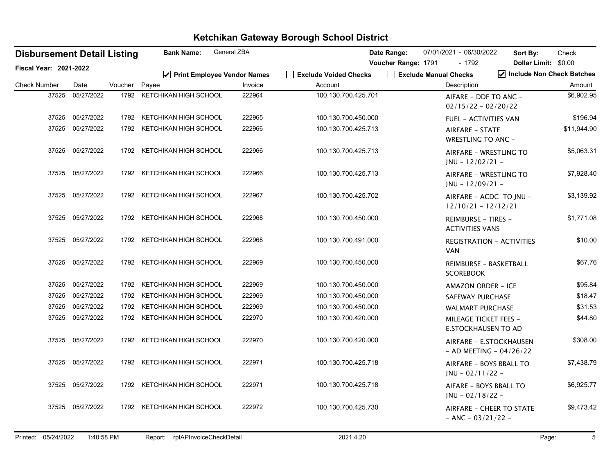| <b>Disbursement Detail Listing</b> |                  |               | <b>Bank Name:</b>             | General ZBA |                       | Date Range:         | 07/01/2021 - 06/30/2022                                    | Sort By:                                               | Check       |
|------------------------------------|------------------|---------------|-------------------------------|-------------|-----------------------|---------------------|------------------------------------------------------------|--------------------------------------------------------|-------------|
| <b>Fiscal Year: 2021-2022</b>      |                  |               |                               |             |                       | Voucher Range: 1791 | $-1792$                                                    | Dollar Limit: \$0.00                                   |             |
|                                    |                  |               | ☑ Print Employee Vendor Names |             | Exclude Voided Checks |                     | Exclude Manual Checks                                      | Include Non Check Batches                              |             |
| <b>Check Number</b>                | Date             | Voucher Payee |                               | Invoice     | Account               |                     | Description                                                |                                                        | Amount      |
| 37525                              | 05/27/2022       | 1792          | KETCHIKAN HIGH SCHOOL         | 222964      | 100.130.700.425.701   |                     | AIFARE - DDF TO ANC -<br>$02/15/22 - 02/20/22$             |                                                        | \$6,902.95  |
| 37525                              | 05/27/2022       | 1792          | KETCHIKAN HIGH SCHOOL         | 222965      | 100.130.700.450.000   |                     | <b>FUEL - ACTIVITIES VAN</b>                               |                                                        | \$196.94    |
| 37525                              | 05/27/2022       | 1792          | KETCHIKAN HIGH SCHOOL         | 222966      | 100.130.700.425.713   |                     | AIRFARE - STATE<br><b>WRESTLING TO ANC -</b>               |                                                        | \$11,944.90 |
|                                    | 37525 05/27/2022 | 1792          | KETCHIKAN HIGH SCHOOL         | 222966      | 100.130.700.425.713   |                     | AIRFARE - WRESTLING TO<br>$JNU - 12/02/21 -$               |                                                        | \$5,063.31  |
| 37525                              | 05/27/2022       | 1792          | KETCHIKAN HIGH SCHOOL         | 222966      | 100.130.700.425.713   |                     | AIRFARE - WRESTLING TO<br>$JNU - 12/09/21 -$               |                                                        | \$7,928.40  |
| 37525                              | 05/27/2022       | 1792          | KETCHIKAN HIGH SCHOOL         | 222967      | 100.130.700.425.702   |                     | AIRFARE - ACDC TO JNU -<br>$12/10/21 - 12/12/21$           |                                                        | \$3,139.92  |
|                                    | 37525 05/27/2022 | 1792          | KETCHIKAN HIGH SCHOOL         | 222968      | 100.130.700.450.000   |                     | REIMBURSE - TIRES -<br><b>ACTIVITIES VANS</b>              |                                                        | \$1,771.08  |
|                                    | 37525 05/27/2022 | 1792          | KETCHIKAN HIGH SCHOOL         | 222968      | 100.130.700.491.000   |                     | <b>VAN</b>                                                 | <b>REGISTRATION - ACTIVITIES</b>                       | \$10.00     |
|                                    | 37525 05/27/2022 | 1792          | KETCHIKAN HIGH SCHOOL         | 222969      | 100.130.700.450.000   |                     | REIMBURSE - BASKETBALL<br><b>SCOREBOOK</b>                 |                                                        | \$67.76     |
| 37525                              | 05/27/2022       | 1792          | KETCHIKAN HIGH SCHOOL         | 222969      | 100.130.700.450.000   |                     | AMAZON ORDER - ICE                                         |                                                        | \$95.84     |
| 37525                              | 05/27/2022       | 1792          | KETCHIKAN HIGH SCHOOL         | 222969      | 100.130.700.450.000   |                     | <b>SAFEWAY PURCHASE</b>                                    |                                                        | \$18.47     |
| 37525                              | 05/27/2022       | 1792          | KETCHIKAN HIGH SCHOOL         | 222969      | 100.130.700.450.000   |                     | <b>WALMART PURCHASE</b>                                    |                                                        | \$31.53     |
| 37525                              | 05/27/2022       | 1792          | KETCHIKAN HIGH SCHOOL         | 222970      | 100.130.700.420.000   |                     | <b>MILEAGE TICKET FEES -</b><br><b>E.STOCKHAUSEN TO AD</b> |                                                        | \$44.80     |
| 37525                              | 05/27/2022       | 1792          | KETCHIKAN HIGH SCHOOL         | 222970      | 100.130.700.420.000   |                     |                                                            | AIRFARE - E.STOCKHAUSEN<br>$-$ AD MEETING $-$ 04/26/22 | \$308.00    |
| 37525                              | 05/27/2022       | 1792          | KETCHIKAN HIGH SCHOOL         | 222971      | 100.130.700.425.718   |                     | AIRFARE - BOYS BBALL TO<br>$JNU - 02/11/22 -$              |                                                        | \$7,438.79  |
|                                    | 37525 05/27/2022 | 1792          | KETCHIKAN HIGH SCHOOL         | 222971      | 100.130.700.425.718   |                     | AIFARE - BOYS BBALL TO<br>$JNU - 02/18/22 -$               |                                                        | \$6,925.77  |
|                                    | 37525 05/27/2022 |               | 1792 KETCHIKAN HIGH SCHOOL    | 222972      | 100.130.700.425.730   |                     | $- ANC - 03/21/22 -$                                       | AIRFARE - CHEER TO STATE                               | \$9,473.42  |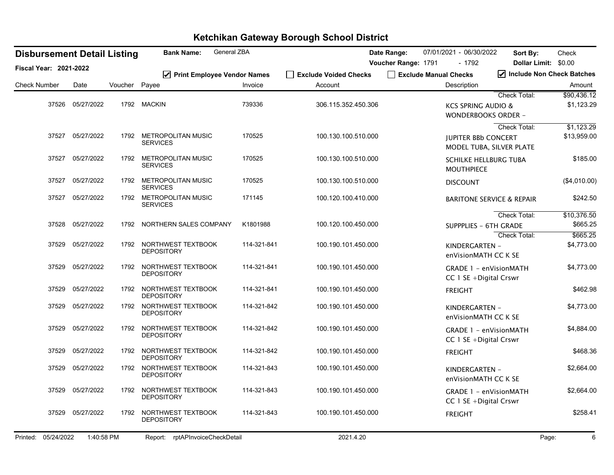| <b>Disbursement Detail Listing</b> |       |            |         | General ZBA<br><b>Bank Name:</b>             |             |                                  | Date Range:         |                       | 07/01/2021 - 06/30/2022                              | Sort By:                                        | Check                                 |
|------------------------------------|-------|------------|---------|----------------------------------------------|-------------|----------------------------------|---------------------|-----------------------|------------------------------------------------------|-------------------------------------------------|---------------------------------------|
| <b>Fiscal Year: 2021-2022</b>      |       |            |         |                                              |             |                                  | Voucher Range: 1791 |                       | - 1792                                               |                                                 | Dollar Limit: \$0.00                  |
| <b>Check Number</b>                |       | Date       | Voucher | ☑ Print Employee Vendor Names<br>Payee       | Invoice     | Exclude Voided Checks<br>Account |                     | Exclude Manual Checks | Description                                          |                                                 | √ Include Non Check Batches<br>Amount |
|                                    |       |            |         |                                              |             |                                  |                     |                       |                                                      | <b>Check Total:</b>                             | \$90,436.12                           |
|                                    | 37526 | 05/27/2022 |         | 1792 MACKIN                                  | 739336      | 306.115.352.450.306              |                     |                       | <b>KCS SPRING AUDIO &amp;</b><br>WONDERBOOKS ORDER - |                                                 | \$1,123.29                            |
|                                    | 37527 | 05/27/2022 | 1792    | METROPOLITAN MUSIC<br><b>SERVICES</b>        | 170525      | 100.130.100.510.000              |                     |                       | <b>JUPITER BBb CONCERT</b>                           | <b>Check Total:</b><br>MODEL TUBA, SILVER PLATE | \$1,123.29<br>\$13,959.00             |
|                                    | 37527 | 05/27/2022 | 1792    | <b>METROPOLITAN MUSIC</b><br><b>SERVICES</b> | 170525      | 100.130.100.510.000              |                     |                       | <b>SCHILKE HELLBURG TUBA</b><br><b>MOUTHPIECE</b>    |                                                 | \$185.00                              |
|                                    | 37527 | 05/27/2022 |         | 1792 METROPOLITAN MUSIC<br><b>SERVICES</b>   | 170525      | 100.130.100.510.000              |                     |                       | <b>DISCOUNT</b>                                      |                                                 | (\$4,010.00)                          |
|                                    | 37527 | 05/27/2022 | 1792    | METROPOLITAN MUSIC<br><b>SERVICES</b>        | 171145      | 100.120.100.410.000              |                     |                       |                                                      | <b>BARITONE SERVICE &amp; REPAIR</b>            | \$242.50                              |
|                                    | 37528 | 05/27/2022 | 1792    | NORTHERN SALES COMPANY                       | K1801988    | 100.120.100.450.000              |                     |                       | <b>SUPPPLIES - 6TH GRADE</b>                         | Check Total:<br><b>Check Total:</b>             | \$10,376.50<br>\$665.25<br>\$665.25   |
|                                    | 37529 | 05/27/2022 | 1792    | NORTHWEST TEXTBOOK<br><b>DEPOSITORY</b>      | 114-321-841 | 100.190.101.450.000              |                     |                       | KINDERGARTEN -<br>enVisionMATH CC K SE               |                                                 | \$4,773.00                            |
|                                    | 37529 | 05/27/2022 | 1792    | NORTHWEST TEXTBOOK<br><b>DEPOSITORY</b>      | 114-321-841 | 100.190.101.450.000              |                     |                       | GRADE 1 - enVisionMATH<br>CC 1 SE + Digital Crswr    |                                                 | \$4,773.00                            |
|                                    | 37529 | 05/27/2022 | 1792    | NORTHWEST TEXTBOOK<br><b>DEPOSITORY</b>      | 114-321-841 | 100.190.101.450.000              |                     |                       | <b>FREIGHT</b>                                       |                                                 | \$462.98                              |
|                                    | 37529 | 05/27/2022 | 1792    | NORTHWEST TEXTBOOK<br><b>DEPOSITORY</b>      | 114-321-842 | 100.190.101.450.000              |                     |                       | KINDERGARTEN -<br>enVisionMATH CC K SE               |                                                 | \$4,773.00                            |
|                                    | 37529 | 05/27/2022 | 1792    | NORTHWEST TEXTBOOK<br><b>DEPOSITORY</b>      | 114-321-842 | 100.190.101.450.000              |                     |                       | GRADE 1 - enVisionMATH<br>CC 1 SE + Digital Crswr    |                                                 | \$4,884.00                            |
|                                    | 37529 | 05/27/2022 | 1792    | NORTHWEST TEXTBOOK<br><b>DEPOSITORY</b>      | 114-321-842 | 100.190.101.450.000              |                     |                       | <b>FREIGHT</b>                                       |                                                 | \$468.36                              |
|                                    | 37529 | 05/27/2022 | 1792    | NORTHWEST TEXTBOOK<br><b>DEPOSITORY</b>      | 114-321-843 | 100.190.101.450.000              |                     |                       | KINDERGARTEN -<br>enVisionMATH CC K SE               |                                                 | \$2,664.00                            |
|                                    | 37529 | 05/27/2022 | 1792    | NORTHWEST TEXTBOOK<br><b>DEPOSITORY</b>      | 114-321-843 | 100.190.101.450.000              |                     |                       | GRADE 1 - enVisionMATH<br>CC 1 SE + Digital Crswr    |                                                 | \$2,664.00                            |
|                                    | 37529 | 05/27/2022 | 1792    | NORTHWEST TEXTBOOK<br><b>DEPOSITORY</b>      | 114-321-843 | 100.190.101.450.000              |                     |                       | <b>FREIGHT</b>                                       |                                                 | \$258.41                              |
| Printed: 05/24/2022                |       | 1:40:58 PM |         | Report: rptAPInvoiceCheckDetail              |             | 2021.4.20                        |                     |                       |                                                      |                                                 | Page:<br>6                            |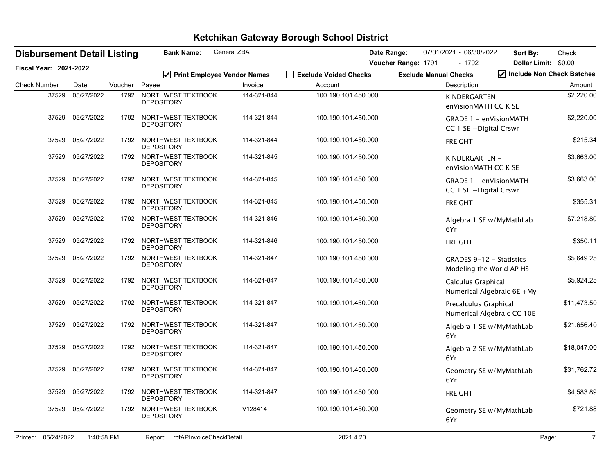| <b>Disbursement Detail Listing</b> |                  |         | <b>Bank Name:</b>                       | <b>General ZBA</b> | 07/01/2021 - 06/30/2022<br>Date Range: |                       |                                                      | Sort By:                  | Check       |
|------------------------------------|------------------|---------|-----------------------------------------|--------------------|----------------------------------------|-----------------------|------------------------------------------------------|---------------------------|-------------|
| <b>Fiscal Year: 2021-2022</b>      |                  |         |                                         |                    |                                        | Voucher Range: 1791   | $-1792$                                              | Dollar Limit: \$0.00      |             |
| <b>Check Number</b>                | Date             | Voucher | ☑ Print Employee Vendor Names<br>Payee  | Invoice            | Exclude Voided Checks<br>Account       | Exclude Manual Checks | Description                                          | Include Non Check Batches |             |
|                                    |                  |         |                                         |                    |                                        |                       |                                                      |                           | Amount      |
| 37529                              | 05/27/2022       | 1792    | NORTHWEST TEXTBOOK<br><b>DEPOSITORY</b> | 114-321-844        | 100.190.101.450.000                    |                       | KINDERGARTEN -<br>enVisionMATH CC K SE               |                           | \$2,220.00  |
| 37529                              | 05/27/2022       | 1792    | NORTHWEST TEXTBOOK<br><b>DEPOSITORY</b> | 114-321-844        | 100.190.101.450.000                    |                       | GRADE 1 - enVisionMATH<br>CC 1 SE + Digital Crswr    |                           | \$2,220.00  |
| 37529                              | 05/27/2022       | 1792    | NORTHWEST TEXTBOOK<br><b>DEPOSITORY</b> | 114-321-844        | 100.190.101.450.000                    |                       | <b>FREIGHT</b>                                       |                           | \$215.34    |
| 37529                              | 05/27/2022       | 1792    | NORTHWEST TEXTBOOK<br><b>DEPOSITORY</b> | 114-321-845        | 100.190.101.450.000                    |                       | KINDERGARTEN -<br>enVisionMATH CC K SE               |                           | \$3,663.00  |
| 37529                              | 05/27/2022       | 1792    | NORTHWEST TEXTBOOK<br><b>DEPOSITORY</b> | 114-321-845        | 100.190.101.450.000                    |                       | GRADE 1 - enVisionMATH<br>CC 1 SE + Digital Crswr    |                           | \$3,663.00  |
| 37529                              | 05/27/2022       | 1792    | NORTHWEST TEXTBOOK<br><b>DEPOSITORY</b> | 114-321-845        | 100.190.101.450.000                    |                       | <b>FREIGHT</b>                                       |                           | \$355.31    |
| 37529                              | 05/27/2022       | 1792    | NORTHWEST TEXTBOOK<br><b>DEPOSITORY</b> | 114-321-846        | 100.190.101.450.000                    |                       | Algebra 1 SE w/MyMathLab<br>6Yr                      |                           | \$7,218.80  |
|                                    | 37529 05/27/2022 | 1792    | NORTHWEST TEXTBOOK<br><b>DEPOSITORY</b> | 114-321-846        | 100.190.101.450.000                    |                       | <b>FREIGHT</b>                                       |                           | \$350.11    |
| 37529                              | 05/27/2022       | 1792    | NORTHWEST TEXTBOOK<br><b>DEPOSITORY</b> | 114-321-847        | 100.190.101.450.000                    |                       | GRADES 9-12 - Statistics<br>Modeling the World AP HS |                           | \$5,649.25  |
| 37529                              | 05/27/2022       | 1792    | NORTHWEST TEXTBOOK<br><b>DEPOSITORY</b> | 114-321-847        | 100.190.101.450.000                    |                       | Calculus Graphical<br>Numerical Algebraic 6E +My     |                           | \$5,924.25  |
| 37529                              | 05/27/2022       | 1792    | NORTHWEST TEXTBOOK<br><b>DEPOSITORY</b> | 114-321-847        | 100.190.101.450.000                    |                       | Precalculus Graphical<br>Numerical Algebraic CC 10E  |                           | \$11,473.50 |
| 37529                              | 05/27/2022       | 1792    | NORTHWEST TEXTBOOK<br><b>DEPOSITORY</b> | 114-321-847        | 100.190.101.450.000                    |                       | Algebra 1 SE w/MyMathLab<br>6Yr                      |                           | \$21,656.40 |
| 37529                              | 05/27/2022       | 1792    | NORTHWEST TEXTBOOK<br><b>DEPOSITORY</b> | 114-321-847        | 100.190.101.450.000                    |                       | Algebra 2 SE w/MyMathLab<br>6Yr                      |                           | \$18,047.00 |
| 37529                              | 05/27/2022       | 1792    | NORTHWEST TEXTBOOK<br><b>DEPOSITORY</b> | 114-321-847        | 100.190.101.450.000                    |                       | Geometry SE w/MyMathLab<br>6Yr                       |                           | \$31,762.72 |
| 37529                              | 05/27/2022       | 1792    | NORTHWEST TEXTBOOK<br><b>DEPOSITORY</b> | 114-321-847        | 100.190.101.450.000                    |                       | <b>FREIGHT</b>                                       |                           | \$4,583.89  |
| 37529                              | 05/27/2022       | 1792    | NORTHWEST TEXTBOOK<br><b>DEPOSITORY</b> | V128414            | 100.190.101.450.000                    |                       | Geometry SE w/MyMathLab<br>6Yr                       |                           | \$721.88    |
|                                    |                  |         |                                         |                    |                                        |                       |                                                      |                           |             |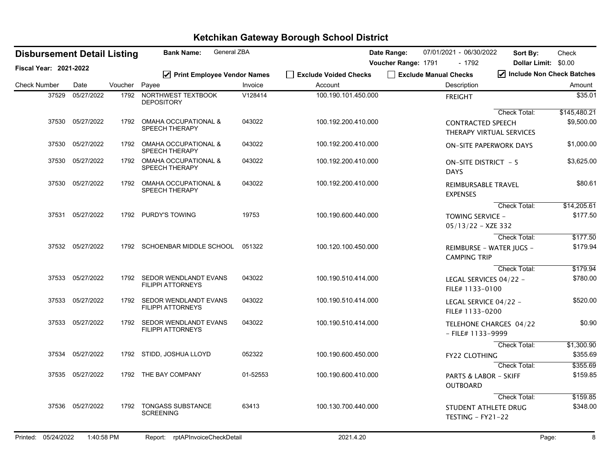| <b>Disbursement Detail Listing</b> |                  |         | General ZBA<br><b>Bank Name:</b>                                                                                                                    |          |                       | Date Range:         |                       | 07/01/2021 - 06/30/2022                             | Sort By:                      | Check        |
|------------------------------------|------------------|---------|-----------------------------------------------------------------------------------------------------------------------------------------------------|----------|-----------------------|---------------------|-----------------------|-----------------------------------------------------|-------------------------------|--------------|
| <b>Fiscal Year: 2021-2022</b>      |                  |         |                                                                                                                                                     |          |                       | Voucher Range: 1791 |                       | - 1792                                              | <b>Dollar Limit:</b>          | \$0.00       |
|                                    |                  |         | ☑ Print Employee Vendor Names                                                                                                                       |          | Exclude Voided Checks |                     | Exclude Manual Checks |                                                     | Include Non Check Batches     |              |
| <b>Check Number</b>                | Date             | Voucher | Payee                                                                                                                                               | Invoice  | Account               |                     |                       | Description                                         |                               | Amount       |
| 37529                              | 05/27/2022       | 1792    | NORTHWEST TEXTBOOK<br><b>DEPOSITORY</b>                                                                                                             | V128414  | 100.190.101.450.000   |                     |                       | <b>FREIGHT</b>                                      |                               | \$35.01      |
|                                    |                  |         |                                                                                                                                                     |          |                       |                     |                       |                                                     | Check Total:                  | \$145,480.21 |
|                                    | 37530 05/27/2022 | 1792    | OMAHA OCCUPATIONAL &<br>SPEECH THERAPY                                                                                                              | 043022   | 100.192.200.410.000   |                     |                       | <b>CONTRACTED SPEECH</b>                            | THERAPY VIRTUAL SERVICES      | \$9,500.00   |
| 37530                              | 05/27/2022       | 1792    | <b>OMAHA OCCUPATIONAL &amp;</b><br>SPEECH THERAPY                                                                                                   | 043022   | 100.192.200.410.000   |                     |                       |                                                     | <b>ON-SITE PAPERWORK DAYS</b> | \$1,000.00   |
| 37530                              | 05/27/2022       |         | 1792 OMAHA OCCUPATIONAL &<br>SPEECH THERAPY                                                                                                         | 043022   | 100.192.200.410.000   |                     |                       | ON-SITE DISTRICT - 5<br><b>DAYS</b>                 |                               | \$3,625.00   |
|                                    | 37530 05/27/2022 | 1792    | <b>OMAHA OCCUPATIONAL &amp;</b><br>SPEECH THERAPY                                                                                                   | 043022   | 100.192.200.410.000   |                     |                       | <b>REIMBURSABLE TRAVEL</b><br><b>EXPENSES</b>       |                               | \$80.61      |
|                                    |                  |         |                                                                                                                                                     |          |                       |                     |                       |                                                     | Check Total:                  | \$14,205.61  |
| 37531                              | 05/27/2022       |         | 1792 PURDY'S TOWING                                                                                                                                 | 19753    | 100.190.600.440.000   |                     |                       | <b>TOWING SERVICE -</b><br>$05/13/22 - XZE 332$     |                               | \$177.50     |
|                                    |                  |         |                                                                                                                                                     |          |                       |                     |                       |                                                     | <b>Check Total:</b>           | \$177.50     |
|                                    | 37532 05/27/2022 |         | 1792 SCHOENBAR MIDDLE SCHOOL 051322                                                                                                                 |          | 100.120.100.450.000   |                     |                       | <b>CAMPING TRIP</b>                                 | REIMBURSE - WATER JUGS -      | \$179.94     |
|                                    |                  |         |                                                                                                                                                     |          |                       |                     |                       |                                                     | Check Total:                  | \$179.94     |
|                                    | 37533 05/27/2022 | 1792    | SEDOR WENDLANDT EVANS<br><b>FILIPPI ATTORNEYS</b>                                                                                                   | 043022   | 100.190.510.414.000   |                     |                       | LEGAL SERVICES 04/22 -<br>FILE# 1133-0100           |                               | \$780.00     |
|                                    | 37533 05/27/2022 | 1792    | SEDOR WENDLANDT EVANS<br><b>FILIPPI ATTORNEYS</b>                                                                                                   | 043022   | 100.190.510.414.000   |                     |                       | LEGAL SERVICE 04/22 -<br>FILE# 1133-0200            |                               | \$520.00     |
|                                    | 37533 05/27/2022 |         | 1792 SEDOR WENDLANDT EVANS<br><b>FILIPPI ATTORNEYS</b>                                                                                              | 043022   | 100.190.510.414.000   |                     |                       | $-$ FILE# 1133-9999                                 | TELEHONE CHARGES 04/22        | \$0.90       |
|                                    |                  |         |                                                                                                                                                     |          |                       |                     |                       |                                                     | <b>Check Total:</b>           | \$1,300.90   |
|                                    | 37534 05/27/2022 |         | 1792 STIDD, JOSHUA LLOYD                                                                                                                            | 052322   | 100.190.600.450.000   |                     |                       | <b>FY22 CLOTHING</b>                                |                               | \$355.69     |
|                                    |                  |         |                                                                                                                                                     |          |                       |                     |                       |                                                     | <b>Check Total:</b>           | \$355.69     |
|                                    | 37535 05/27/2022 |         | 1792 THE BAY COMPANY                                                                                                                                | 01-52553 | 100.190.600.410.000   |                     |                       | <b>PARTS &amp; LABOR - SKIFF</b><br><b>OUTBOARD</b> |                               | \$159.85     |
|                                    |                  |         |                                                                                                                                                     |          |                       |                     |                       |                                                     | Check Total:                  | \$159.85     |
|                                    | 37536 05/27/2022 | 1792    | <b>TONGASS SUBSTANCE</b><br><b>SCREENING</b>                                                                                                        | 63413    | 100.130.700.440.000   |                     |                       | STUDENT ATHLETE DRUG<br>TESTING - FY21-22           |                               | \$348.00     |
|                                    |                  |         | $D_{\text{c}}$ and $D_{\text{c}}$ and $D_{\text{c}}$ and $D_{\text{c}}$ and $D_{\text{c}}$ and $D_{\text{c}}$ and $D_{\text{c}}$ and $D_{\text{c}}$ |          | $0.021 \times 0.0$    |                     |                       |                                                     | $\mathbf{D}$                  |              |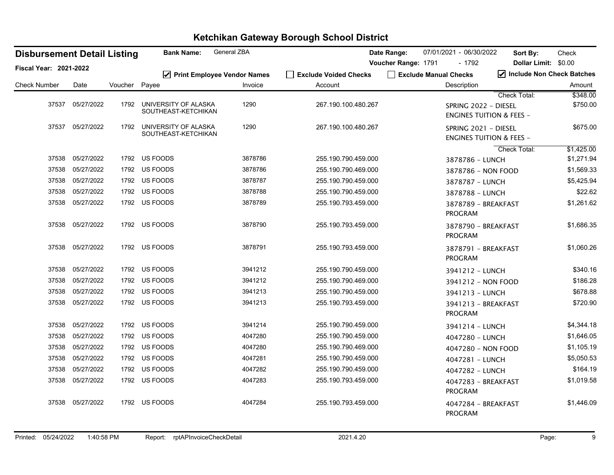| <b>Disbursement Detail Listing</b> |            |         | <b>Bank Name:</b>                           | General ZBA |                       | Date Range:         | 07/01/2021 - 06/30/2022                                     | Sort By:                  | Check      |
|------------------------------------|------------|---------|---------------------------------------------|-------------|-----------------------|---------------------|-------------------------------------------------------------|---------------------------|------------|
| Fiscal Year: 2021-2022             |            |         |                                             |             |                       | Voucher Range: 1791 | - 1792                                                      | Dollar Limit: \$0.00      |            |
|                                    |            |         | ☑ Print Employee Vendor Names               |             | Scalude Voided Checks |                     | Exclude Manual Checks                                       | Include Non Check Batches |            |
| <b>Check Number</b>                | Date       | Voucher | Payee                                       | Invoice     | Account               |                     | Description                                                 |                           | Amount     |
|                                    |            |         |                                             |             |                       |                     |                                                             | Check Total:              | \$348.00   |
| 37537                              | 05/27/2022 | 1792    | UNIVERSITY OF ALASKA<br>SOUTHEAST-KETCHIKAN | 1290        | 267.190.100.480.267   |                     | SPRING 2022 - DIESEL<br><b>ENGINES TUITION &amp; FEES -</b> |                           | \$750.00   |
| 37537                              | 05/27/2022 | 1792    | UNIVERSITY OF ALASKA<br>SOUTHEAST-KETCHIKAN | 1290        | 267.190.100.480.267   |                     | SPRING 2021 - DIESEL<br><b>ENGINES TUITION &amp; FEES -</b> |                           | \$675.00   |
|                                    |            |         |                                             |             |                       |                     |                                                             | <b>Check Total:</b>       | \$1,425.00 |
| 37538                              | 05/27/2022 |         | 1792 US FOODS                               | 3878786     | 255.190.790.459.000   |                     | 3878786 - LUNCH                                             |                           | \$1,271.94 |
| 37538                              | 05/27/2022 |         | 1792 US FOODS                               | 3878786     | 255.190.790.469.000   |                     | 3878786 - NON FOOD                                          |                           | \$1,569.33 |
| 37538                              | 05/27/2022 |         | 1792 US FOODS                               | 3878787     | 255.190.790.459.000   |                     | 3878787 - LUNCH                                             |                           | \$5,425.94 |
| 37538                              | 05/27/2022 |         | 1792 US FOODS                               | 3878788     | 255.190.790.459.000   |                     | 3878788 - LUNCH                                             |                           | \$22.62    |
| 37538                              | 05/27/2022 |         | 1792 US FOODS                               | 3878789     | 255.190.793.459.000   |                     | 3878789 - BREAKFAST<br>PROGRAM                              |                           | \$1,261.62 |
| 37538                              | 05/27/2022 |         | 1792 US FOODS                               | 3878790     | 255.190.793.459.000   |                     | 3878790 - BREAKFAST<br><b>PROGRAM</b>                       |                           | \$1,686.35 |
| 37538                              | 05/27/2022 |         | 1792 US FOODS                               | 3878791     | 255.190.793.459.000   |                     | 3878791 - BREAKFAST<br>PROGRAM                              |                           | \$1,060.26 |
| 37538                              | 05/27/2022 |         | 1792 US FOODS                               | 3941212     | 255.190.790.459.000   |                     | 3941212 - LUNCH                                             |                           | \$340.16   |
| 37538                              | 05/27/2022 |         | 1792 US FOODS                               | 3941212     | 255.190.790.469.000   |                     | 3941212 - NON FOOD                                          |                           | \$186.28   |
| 37538                              | 05/27/2022 |         | 1792 US FOODS                               | 3941213     | 255.190.790.459.000   |                     | 3941213 - LUNCH                                             |                           | \$678.88   |
| 37538                              | 05/27/2022 |         | 1792 US FOODS                               | 3941213     | 255.190.793.459.000   |                     | 3941213 - BREAKFAST<br>PROGRAM                              |                           | \$720.90   |
| 37538                              | 05/27/2022 |         | 1792 US FOODS                               | 3941214     | 255.190.790.459.000   |                     | 3941214 - LUNCH                                             |                           | \$4,344.18 |
| 37538                              | 05/27/2022 |         | 1792 US FOODS                               | 4047280     | 255.190.790.459.000   |                     | 4047280 - LUNCH                                             |                           | \$1,646.05 |
| 37538                              | 05/27/2022 | 1792    | US FOODS                                    | 4047280     | 255.190.790.469.000   |                     | 4047280 - NON FOOD                                          |                           | \$1,105.19 |
| 37538                              | 05/27/2022 |         | 1792 US FOODS                               | 4047281     | 255.190.790.459.000   |                     | 4047281 - LUNCH                                             |                           | \$5,050.53 |
| 37538                              | 05/27/2022 | 1792    | US FOODS                                    | 4047282     | 255.190.790.459.000   |                     | 4047282 - LUNCH                                             |                           | \$164.19   |
| 37538                              | 05/27/2022 |         | 1792 US FOODS                               | 4047283     | 255.190.793.459.000   |                     | 4047283 - BREAKFAST<br>PROGRAM                              |                           | \$1,019.58 |
| 37538                              | 05/27/2022 |         | 1792 US FOODS                               | 4047284     | 255.190.793.459.000   |                     | 4047284 - BREAKFAST<br>PROGRAM                              |                           | \$1,446.09 |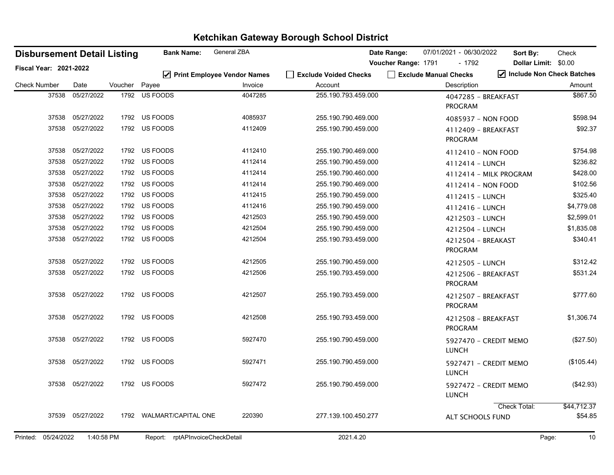| <b>Disbursement Detail Listing</b> |                  |         | <b>Bank Name:</b>               | General ZBA                              |                                  | Date Range:         | 07/01/2021 - 06/30/2022               | Sort By:               | Check                                             |
|------------------------------------|------------------|---------|---------------------------------|------------------------------------------|----------------------------------|---------------------|---------------------------------------|------------------------|---------------------------------------------------|
| <b>Fiscal Year: 2021-2022</b>      |                  |         |                                 |                                          |                                  | Voucher Range: 1791 | $-1792$                               |                        | Dollar Limit: \$0.00<br>Include Non Check Batches |
| <b>Check Number</b>                | Date             | Voucher | Payee                           | ☑ Print Employee Vendor Names<br>Invoice | Exclude Voided Checks<br>Account |                     | Exclude Manual Checks<br>Description  |                        | Amount                                            |
| 37538                              | 05/27/2022       | 1792    | US FOODS                        | 4047285                                  | 255.190.793.459.000              |                     | 4047285 - BREAKFAST<br><b>PROGRAM</b> |                        | \$867.50                                          |
| 37538                              | 05/27/2022       |         | 1792 US FOODS                   | 4085937                                  | 255.190.790.469.000              |                     | 4085937 - NON FOOD                    |                        | \$598.94                                          |
| 37538                              | 05/27/2022       |         | 1792 US FOODS                   | 4112409                                  | 255.190.790.459.000              |                     | 4112409 - BREAKFAST<br><b>PROGRAM</b> |                        | \$92.37                                           |
| 37538                              | 05/27/2022       |         | 1792 US FOODS                   | 4112410                                  | 255.190.790.469.000              |                     | 4112410 - NON FOOD                    |                        | \$754.98                                          |
| 37538                              | 05/27/2022       | 1792    | US FOODS                        | 4112414                                  | 255.190.790.459.000              |                     | 4112414 - LUNCH                       |                        | \$236.82                                          |
| 37538                              | 05/27/2022       |         | 1792 US FOODS                   | 4112414                                  | 255.190.790.460.000              |                     |                                       | 4112414 - MILK PROGRAM | \$428.00                                          |
| 37538                              | 05/27/2022       |         | 1792 US FOODS                   | 4112414                                  | 255.190.790.469.000              |                     | 4112414 - NON FOOD                    |                        | \$102.56                                          |
| 37538                              | 05/27/2022       |         | 1792 US FOODS                   | 4112415                                  | 255.190.790.459.000              |                     | 4112415 - LUNCH                       |                        | \$325.40                                          |
| 37538                              | 05/27/2022       |         | 1792 US FOODS                   | 4112416                                  | 255.190.790.459.000              |                     | 4112416 - LUNCH                       |                        | \$4,779.08                                        |
| 37538                              | 05/27/2022       |         | 1792 US FOODS                   | 4212503                                  | 255.190.790.459.000              |                     | 4212503 - LUNCH                       |                        | \$2,599.01                                        |
| 37538                              | 05/27/2022       | 1792    | US FOODS                        | 4212504                                  | 255.190.790.459.000              |                     | 4212504 - LUNCH                       |                        | \$1,835.08                                        |
| 37538                              | 05/27/2022       |         | 1792 US FOODS                   | 4212504                                  | 255.190.793.459.000              |                     | 4212504 - BREAKAST<br><b>PROGRAM</b>  |                        | \$340.41                                          |
| 37538                              | 05/27/2022       |         | 1792 US FOODS                   | 4212505                                  | 255.190.790.459.000              |                     | 4212505 - LUNCH                       |                        | \$312.42                                          |
| 37538                              | 05/27/2022       |         | 1792 US FOODS                   | 4212506                                  | 255.190.793.459.000              |                     | 4212506 - BREAKFAST<br><b>PROGRAM</b> |                        | \$531.24                                          |
| 37538                              | 05/27/2022       | 1792    | US FOODS                        | 4212507                                  | 255.190.793.459.000              |                     | 4212507 - BREAKFAST<br><b>PROGRAM</b> |                        | \$777.60                                          |
| 37538                              | 05/27/2022       |         | 1792 US FOODS                   | 4212508                                  | 255.190.793.459.000              |                     | 4212508 - BREAKFAST<br><b>PROGRAM</b> |                        | \$1,306.74                                        |
| 37538                              | 05/27/2022       |         | 1792 US FOODS                   | 5927470                                  | 255.190.790.459.000              |                     | <b>LUNCH</b>                          | 5927470 - CREDIT MEMO  | (\$27.50)                                         |
| 37538                              | 05/27/2022       |         | 1792 US FOODS                   | 5927471                                  | 255.190.790.459.000              |                     | <b>LUNCH</b>                          | 5927471 - CREDIT MEMO  | (\$105.44)                                        |
|                                    | 37538 05/27/2022 |         | 1792 US FOODS                   | 5927472                                  | 255.190.790.459.000              |                     | <b>LUNCH</b>                          | 5927472 - CREDIT MEMO  | $(\$42.93)$                                       |
| 37539                              | 05/27/2022       | 1792    | <b>WALMART/CAPITAL ONE</b>      | 220390                                   | 277.139.100.450.277              |                     | ALT SCHOOLS FUND                      | Check Total:           | \$44,712.37<br>\$54.85                            |
| Printed: 05/24/2022                | 1:40:58 PM       |         | Report: rptAPInvoiceCheckDetail |                                          | 2021.4.20                        |                     |                                       |                        | Page:<br>10                                       |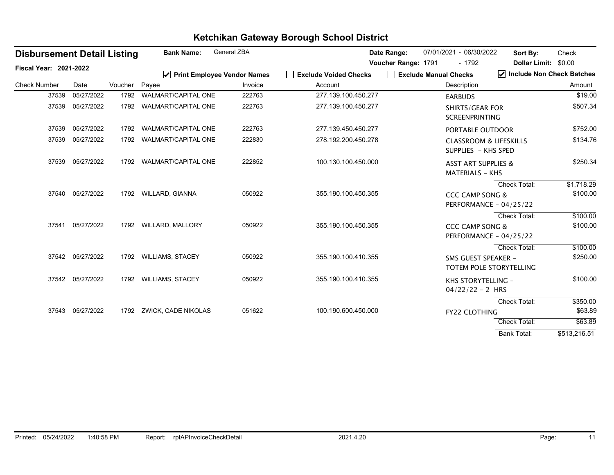|                               | <b>Disbursement Detail Listing</b> |         | <b>Bank Name:</b>             | <b>General ZBA</b> |                       | Date Range:         |                       | 07/01/2021 - 06/30/2022                                  | Sort By:                                          | Check                  |
|-------------------------------|------------------------------------|---------|-------------------------------|--------------------|-----------------------|---------------------|-----------------------|----------------------------------------------------------|---------------------------------------------------|------------------------|
| <b>Fiscal Year: 2021-2022</b> |                                    |         | ☑ Print Employee Vendor Names |                    | Exclude Voided Checks | Voucher Range: 1791 | Exclude Manual Checks | $-1792$                                                  | <b>Dollar Limit:</b><br>Include Non Check Batches | \$0.00                 |
| <b>Check Number</b>           | Date                               | Voucher | Payee                         | Invoice            | Account               |                     |                       | Description                                              |                                                   | Amount                 |
| 37539                         | 05/27/2022                         | 1792    | <b>WALMART/CAPITAL ONE</b>    | 222763             | 277.139.100.450.277   |                     |                       | <b>EARBUDS</b>                                           |                                                   | \$19.00                |
| 37539                         | 05/27/2022                         | 1792    | <b>WALMART/CAPITAL ONE</b>    | 222763             | 277.139.100.450.277   |                     |                       | <b>SHIRTS/GEAR FOR</b><br><b>SCREENPRINTING</b>          |                                                   | \$507.34               |
| 37539                         | 05/27/2022                         | 1792    | <b>WALMART/CAPITAL ONE</b>    | 222763             | 277.139.450.450.277   |                     |                       | PORTABLE OUTDOOR                                         |                                                   | \$752.00               |
| 37539                         | 05/27/2022                         | 1792    | <b>WALMART/CAPITAL ONE</b>    | 222830             | 278.192.200.450.278   |                     |                       | <b>CLASSROOM &amp; LIFESKILLS</b><br>SUPPLIES - KHS SPED |                                                   | \$134.76               |
| 37539                         | 05/27/2022                         | 1792    | <b>WALMART/CAPITAL ONE</b>    | 222852             | 100.130.100.450.000   |                     |                       | <b>ASST ART SUPPLIES &amp;</b><br><b>MATERIALS - KHS</b> |                                                   | \$250.34               |
|                               | 37540 05/27/2022                   | 1792    | WILLARD, GIANNA               | 050922             | 355.190.100.450.355   |                     |                       | <b>CCC CAMP SONG &amp;</b><br>PERFORMANCE - 04/25/22     | Check Total:                                      | \$1,718.29<br>\$100.00 |
| 37541                         | 05/27/2022                         |         | 1792 WILLARD, MALLORY         | 050922             | 355.190.100.450.355   |                     |                       | <b>CCC CAMP SONG &amp;</b><br>PERFORMANCE - 04/25/22     | <b>Check Total:</b>                               | \$100.00<br>\$100.00   |
|                               | 37542 05/27/2022                   |         | 1792 WILLIAMS, STACEY         | 050922             | 355.190.100.410.355   |                     |                       | SMS GUEST SPEAKER -<br>TOTEM POLE STORYTELLING           | Check Total:                                      | \$100.00<br>\$250.00   |
|                               | 37542 05/27/2022                   |         | 1792 WILLIAMS, STACEY         | 050922             | 355.190.100.410.355   |                     |                       | KHS STORYTELLING -<br>$04/22/22 - 2$ HRS                 |                                                   | \$100.00               |
|                               |                                    |         |                               |                    |                       |                     |                       |                                                          | Check Total:                                      | \$350.00               |
|                               | 37543 05/27/2022                   | 1792    | ZWICK, CADE NIKOLAS           | 051622             | 100.190.600.450.000   |                     |                       | <b>FY22 CLOTHING</b>                                     |                                                   | \$63.89                |
|                               |                                    |         |                               |                    |                       |                     |                       |                                                          | Check Total:                                      | \$63.89                |
|                               |                                    |         |                               |                    |                       |                     |                       |                                                          | <b>Bank Total:</b>                                | \$513,216.51           |